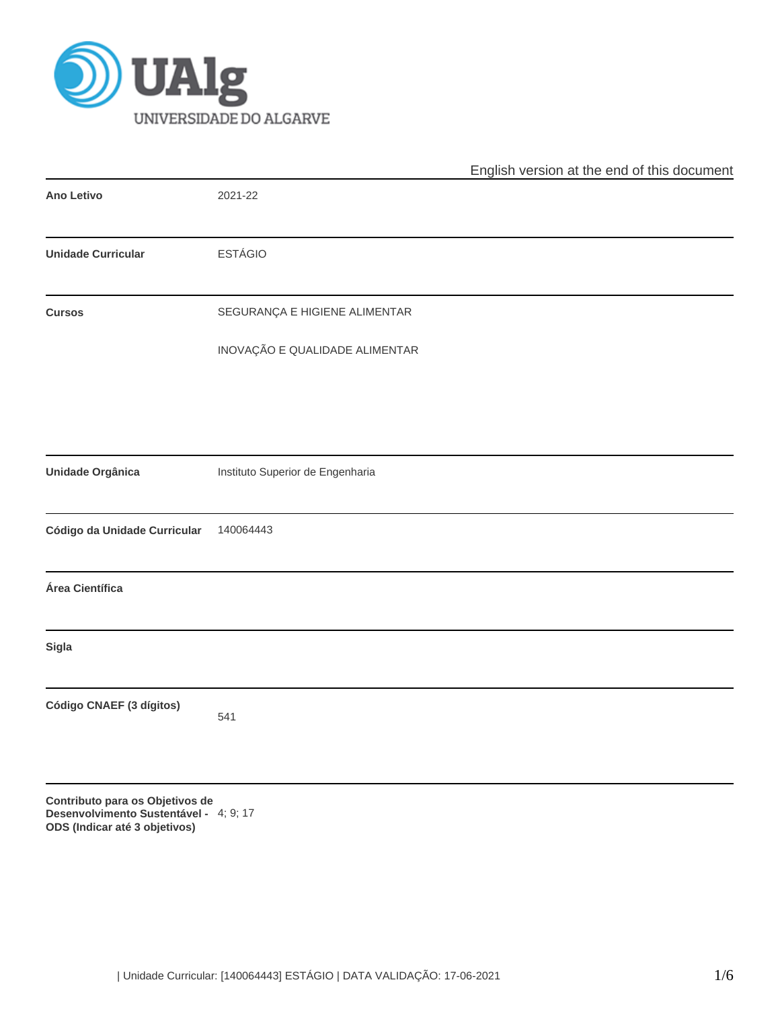

|                                                                                                            |                                  | English version at the end of this document |
|------------------------------------------------------------------------------------------------------------|----------------------------------|---------------------------------------------|
| <b>Ano Letivo</b>                                                                                          | 2021-22                          |                                             |
| <b>Unidade Curricular</b>                                                                                  | <b>ESTÁGIO</b>                   |                                             |
| <b>Cursos</b>                                                                                              | SEGURANÇA E HIGIENE ALIMENTAR    |                                             |
|                                                                                                            | INOVAÇÃO E QUALIDADE ALIMENTAR   |                                             |
|                                                                                                            |                                  |                                             |
| Unidade Orgânica                                                                                           | Instituto Superior de Engenharia |                                             |
| Código da Unidade Curricular                                                                               | 140064443                        |                                             |
| Área Científica                                                                                            |                                  |                                             |
| Sigla                                                                                                      |                                  |                                             |
| Código CNAEF (3 dígitos)                                                                                   | 541                              |                                             |
| Contributo para os Objetivos de<br>Desenvolvimento Sustentável - 4; 9; 17<br>ODS (Indicar até 3 objetivos) |                                  |                                             |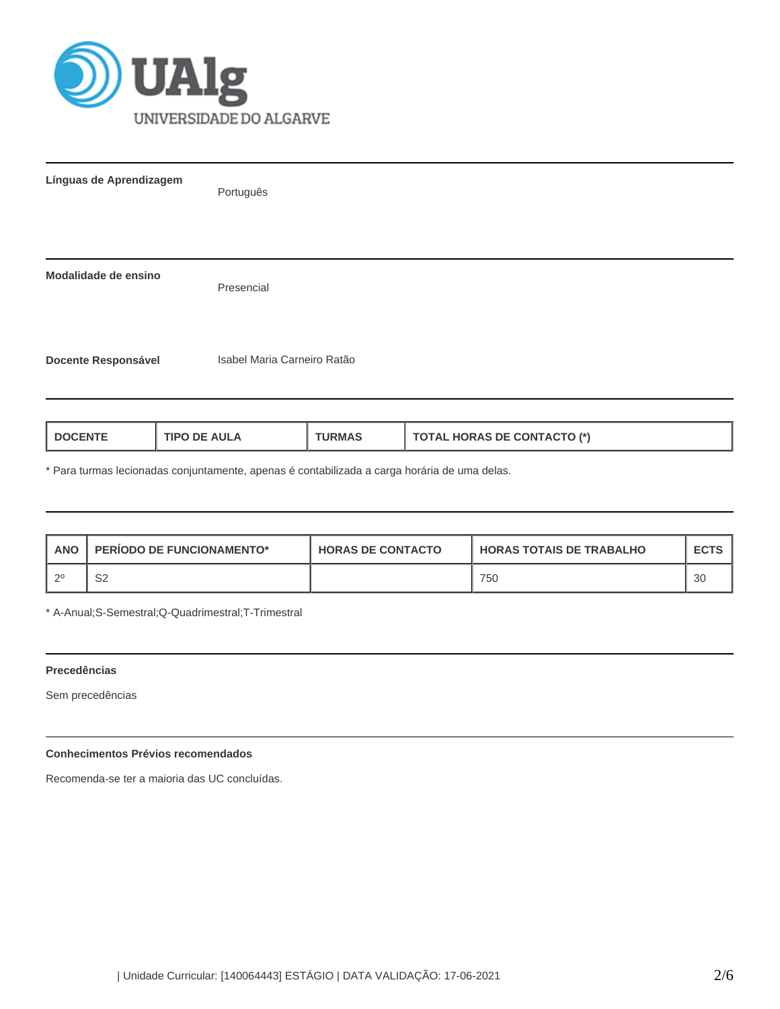

| Línguas de Aprendizagem    | Português                   |
|----------------------------|-----------------------------|
|                            |                             |
| Modalidade de ensino       | Presencial                  |
| <b>Docente Responsável</b> | Isabel Maria Carneiro Ratão |

| <b>TIPO DE AULA</b><br><b>LDOCENTE</b><br>URMAS | <b>TOTAL HORAS DE CONTACTO (*)</b> |
|-------------------------------------------------|------------------------------------|
|-------------------------------------------------|------------------------------------|

\* Para turmas lecionadas conjuntamente, apenas é contabilizada a carga horária de uma delas.

| <b>ANO</b> | <b>PERIODO DE FUNCIONAMENTO*</b> | <b>HORAS DE CONTACTO</b> | <b>HORAS TOTAIS DE TRABALHO</b> | <b>ECTS</b> |
|------------|----------------------------------|--------------------------|---------------------------------|-------------|
| ി റ0       | S2                               |                          | 750                             |             |

\* A-Anual;S-Semestral;Q-Quadrimestral;T-Trimestral

# **Precedências**

Sem precedências

# **Conhecimentos Prévios recomendados**

Recomenda-se ter a maioria das UC concluídas.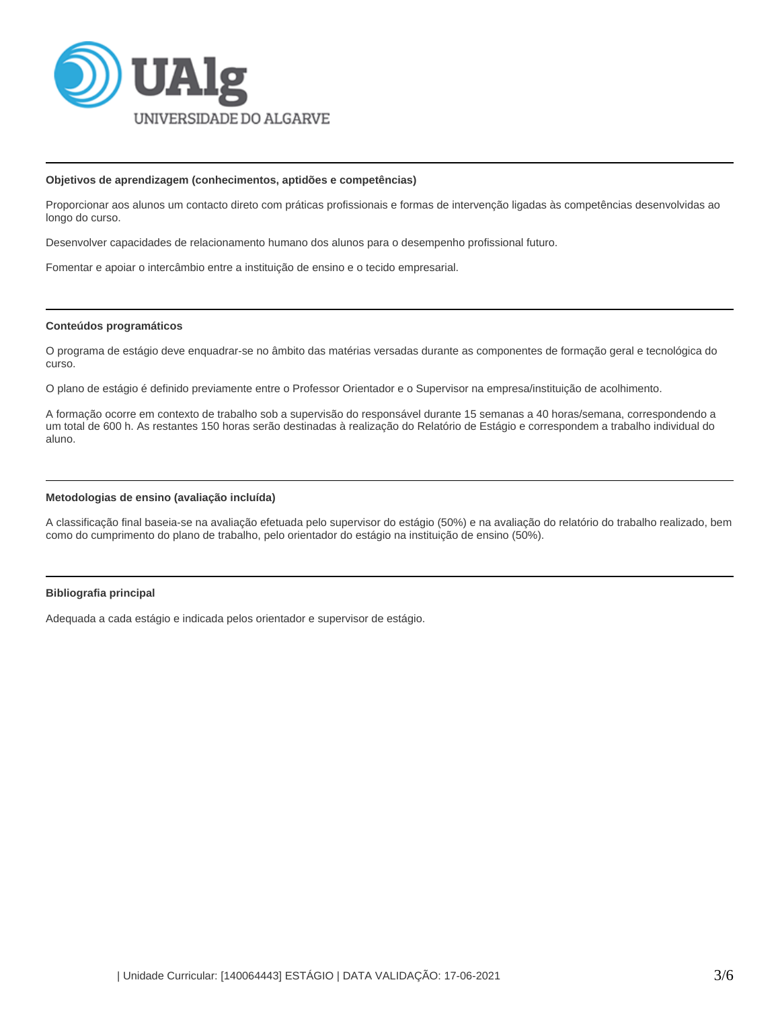

#### **Objetivos de aprendizagem (conhecimentos, aptidões e competências)**

Proporcionar aos alunos um contacto direto com práticas profissionais e formas de intervenção ligadas às competências desenvolvidas ao longo do curso.

Desenvolver capacidades de relacionamento humano dos alunos para o desempenho profissional futuro.

Fomentar e apoiar o intercâmbio entre a instituição de ensino e o tecido empresarial.

#### **Conteúdos programáticos**

O programa de estágio deve enquadrar-se no âmbito das matérias versadas durante as componentes de formação geral e tecnológica do curso.

O plano de estágio é definido previamente entre o Professor Orientador e o Supervisor na empresa/instituição de acolhimento.

A formação ocorre em contexto de trabalho sob a supervisão do responsável durante 15 semanas a 40 horas/semana, correspondendo a um total de 600 h. As restantes 150 horas serão destinadas à realização do Relatório de Estágio e correspondem a trabalho individual do aluno.

### **Metodologias de ensino (avaliação incluída)**

A classificação final baseia-se na avaliação efetuada pelo supervisor do estágio (50%) e na avaliação do relatório do trabalho realizado, bem como do cumprimento do plano de trabalho, pelo orientador do estágio na instituição de ensino (50%).

### **Bibliografia principal**

Adequada a cada estágio e indicada pelos orientador e supervisor de estágio.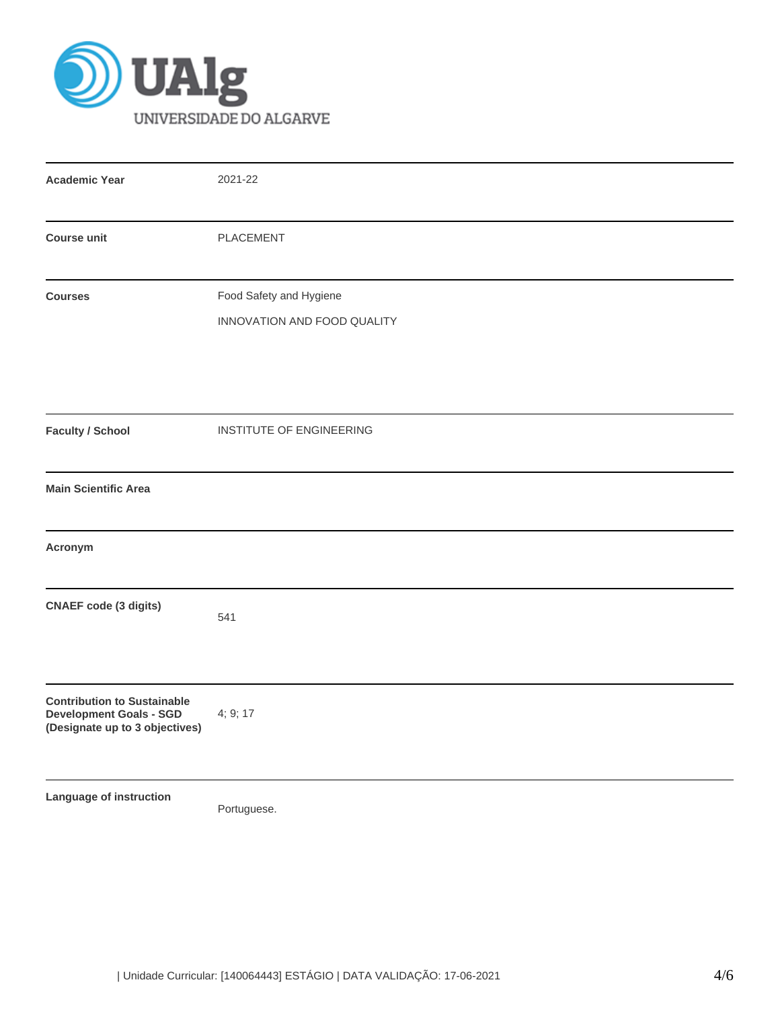

| <b>Academic Year</b>                                                                                   | 2021-22                                                |
|--------------------------------------------------------------------------------------------------------|--------------------------------------------------------|
| <b>Course unit</b>                                                                                     | PLACEMENT                                              |
| <b>Courses</b>                                                                                         | Food Safety and Hygiene<br>INNOVATION AND FOOD QUALITY |
| <b>Faculty / School</b>                                                                                | INSTITUTE OF ENGINEERING                               |
| <b>Main Scientific Area</b>                                                                            |                                                        |
| Acronym                                                                                                |                                                        |
| <b>CNAEF code (3 digits)</b>                                                                           | 541                                                    |
| <b>Contribution to Sustainable</b><br><b>Development Goals - SGD</b><br>(Designate up to 3 objectives) | 4; 9; 17                                               |
| Language of instruction                                                                                | Portuguese.                                            |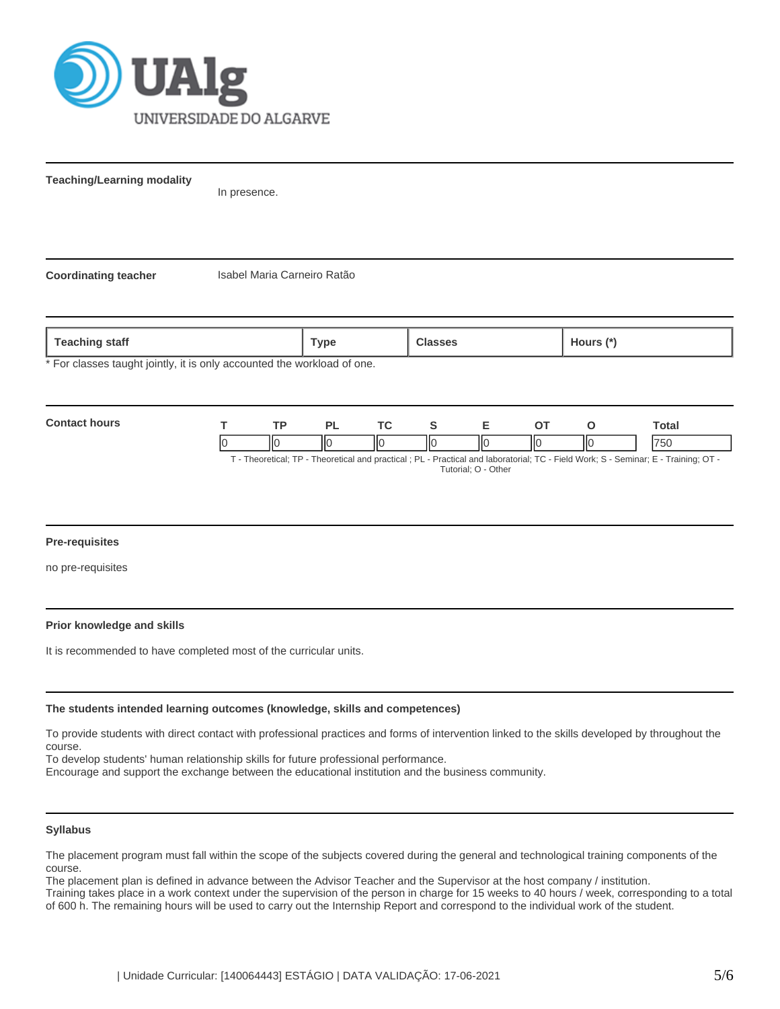

**Teaching/Learning modality**

In presence.

**Coordinating teacher** Isabel Maria Carneiro Ratão

**Teaching staff Type Classes Hours (\*)**

For classes taught jointly, it is only accounted the workload of one.



### **Pre-requisites**

no pre-requisites

### **Prior knowledge and skills**

It is recommended to have completed most of the curricular units.

### **The students intended learning outcomes (knowledge, skills and competences)**

To provide students with direct contact with professional practices and forms of intervention linked to the skills developed by throughout the course.

To develop students' human relationship skills for future professional performance.

Encourage and support the exchange between the educational institution and the business community.

#### **Syllabus**

The placement program must fall within the scope of the subjects covered during the general and technological training components of the course.

The placement plan is defined in advance between the Advisor Teacher and the Supervisor at the host company / institution. Training takes place in a work context under the supervision of the person in charge for 15 weeks to 40 hours / week, corresponding to a total of 600 h. The remaining hours will be used to carry out the Internship Report and correspond to the individual work of the student.